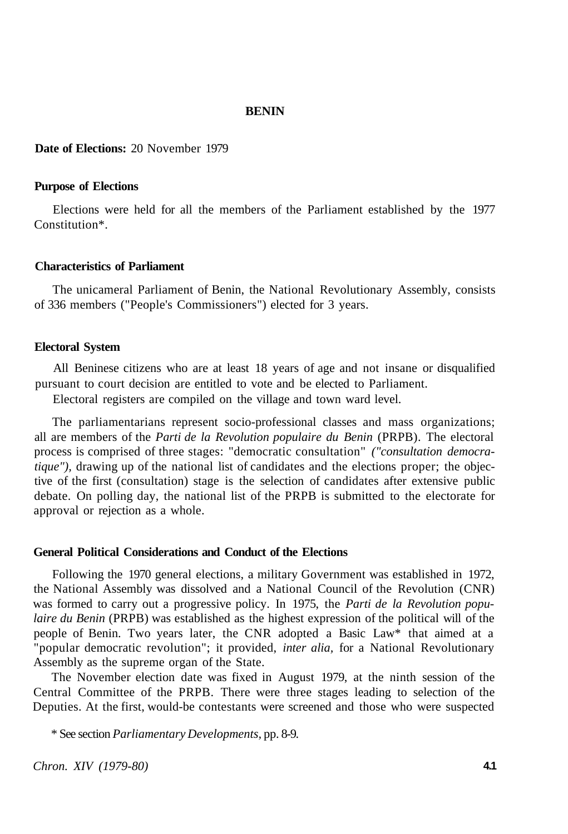### **BENIN**

**Date of Elections:** 20 November 1979

# **Purpose of Elections**

Elections were held for all the members of the Parliament established by the 1977 Constitution\*.

# **Characteristics of Parliament**

The unicameral Parliament of Benin, the National Revolutionary Assembly, consists of 336 members ("People's Commissioners") elected for 3 years.

#### **Electoral System**

All Beninese citizens who are at least 18 years of age and not insane or disqualified pursuant to court decision are entitled to vote and be elected to Parliament.

Electoral registers are compiled on the village and town ward level.

The parliamentarians represent socio-professional classes and mass organizations; all are members of the *Parti de la Revolution populaire du Benin* (PRPB). The electoral process is comprised of three stages: "democratic consultation" *("consultation democratique")*, drawing up of the national list of candidates and the elections proper; the objective of the first (consultation) stage is the selection of candidates after extensive public debate. On polling day, the national list of the PRPB is submitted to the electorate for approval or rejection as a whole.

#### **General Political Considerations and Conduct of the Elections**

Following the 1970 general elections, a military Government was established in 1972, the National Assembly was dissolved and a National Council of the Revolution (CNR) was formed to carry out a progressive policy. In 1975, the *Parti de la Revolution populaire du Benin* (PRPB) was established as the highest expression of the political will of the people of Benin. Two years later, the CNR adopted a Basic Law\* that aimed at a "popular democratic revolution"; it provided, *inter alia,* for a National Revolutionary Assembly as the supreme organ of the State.

The November election date was fixed in August 1979, at the ninth session of the Central Committee of the PRPB. There were three stages leading to selection of the Deputies. At the first, would-be contestants were screened and those who were suspected

\* See section *Parliamentary Developments,* pp. 8-9.

*Chron. XIV (1979-80)* **4.1**